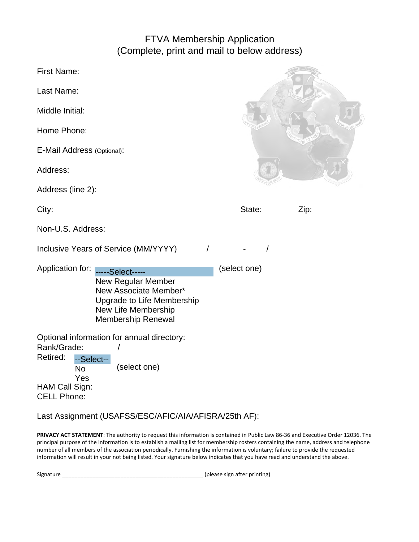## FTVA Membership Application (Complete, print and mail to below address)

| <b>First Name:</b>                                                                                |                                                                                                                                                   |          |              |      |
|---------------------------------------------------------------------------------------------------|---------------------------------------------------------------------------------------------------------------------------------------------------|----------|--------------|------|
| Last Name:                                                                                        |                                                                                                                                                   |          |              |      |
| Middle Initial:                                                                                   |                                                                                                                                                   |          |              |      |
| Home Phone:                                                                                       |                                                                                                                                                   |          |              |      |
| E-Mail Address (Optional):                                                                        |                                                                                                                                                   |          |              |      |
| Address:                                                                                          |                                                                                                                                                   |          |              |      |
| Address (line 2):                                                                                 |                                                                                                                                                   |          |              |      |
| City:                                                                                             |                                                                                                                                                   |          | State:       | Zip: |
| Non-U.S. Address:                                                                                 |                                                                                                                                                   |          |              |      |
| Inclusive Years of Service (MM/YYYY)                                                              |                                                                                                                                                   | $\prime$ |              |      |
| Application for:                                                                                  | -----Select-----<br><b>New Regular Member</b><br>New Associate Member*<br>Upgrade to Life Membership<br>New Life Membership<br>Membership Renewal |          | (select one) |      |
| Rank/Grade:<br>Retired:<br>--Select--<br><b>No</b><br>Yes<br>HAM Call Sign:<br><b>CELL Phone:</b> | Optional information for annual directory:<br>(select one)                                                                                        |          |              |      |

## Last Assignment (USAFSS/ESC/AFIC/AIA/AFISRA/25th AF):

**PRIVACY ACT STATEMENT**: The authority to request this information is contained in Public Law 86-36 and Executive Order 12036. The principal purpose of the information is to establish a mailing list for membership rosters containing the name, address and telephone number of all members of the association periodically. Furnishing the information is voluntary; failure to provide the requested information will result in your not being listed. Your signature below indicates that you have read and understand the above.

Signature \_\_\_\_\_\_\_\_\_\_\_\_\_\_\_\_\_\_\_\_\_\_\_\_\_\_\_\_\_\_\_\_\_\_\_\_\_\_\_\_\_\_\_\_\_\_ (please sign after printing)